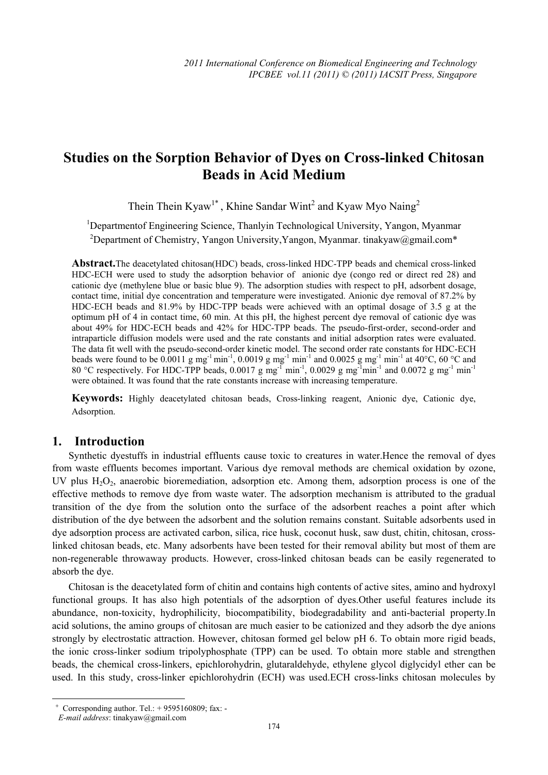# **Studies on the Sorption Behavior of Dyes on Cross-linked Chitosan Beads in Acid Medium**

Thein Thein Kyaw<sup>1\*</sup>, Khine Sandar Wint<sup>2</sup> and Kyaw Myo Naing<sup>2</sup>

<sup>1</sup>Departmentof Engineering Science, Thanlyin Technological University, Yangon, Myanmar

<sup>2</sup>Department of Chemistry, Yangon University, Yangon, Myanmar. tinakyaw@gmail.com\*

**Abstract.**The deacetylated chitosan(HDC) beads, cross-linked HDC-TPP beads and chemical cross-linked HDC-ECH were used to study the adsorption behavior of anionic dye (congo red or direct red 28) and cationic dye (methylene blue or basic blue 9). The adsorption studies with respect to pH, adsorbent dosage, contact time, initial dye concentration and temperature were investigated. Anionic dye removal of 87.2% by HDC-ECH beads and 81.9% by HDC-TPP beads were achieved with an optimal dosage of 3.5 g at the optimum pH of 4 in contact time, 60 min. At this pH, the highest percent dye removal of cationic dye was about 49% for HDC-ECH beads and 42% for HDC-TPP beads. The pseudo-first-order, second-order and intraparticle diffusion models were used and the rate constants and initial adsorption rates were evaluated. The data fit well with the pseudo-second-order kinetic model. The second order rate constants for HDC-ECH beads were found to be 0.0011 g mg<sup>-1</sup> min<sup>-1</sup>, 0.0019 g mg<sup>-1</sup> min<sup>-1</sup> and 0.0025 g mg<sup>-1</sup> min<sup>-1</sup> at 40°C, 60 °C and 80 °C respectively. For HDC-TPP beads,  $0.0017$  g mg<sup>-1</sup> min<sup>-1</sup>,  $0.0029$  g mg<sup>-1</sup>min<sup>-1</sup> and  $0.0072$  g mg<sup>-1</sup> min<sup>-1</sup> min<sup>-1</sup> were obtained. It was found that the rate constants increase with increasing temperature.

**Keywords:** Highly deacetylated chitosan beads, Cross-linking reagent, Anionic dye, Cationic dye, Adsorption.

## **1. Introduction**

Synthetic dyestuffs in industrial effluents cause toxic to creatures in water.Hence the removal of dyes from waste effluents becomes important. Various dye removal methods are chemical oxidation by ozone, UV plus  $H_2O_2$ , anaerobic bioremediation, adsorption etc. Among them, adsorption process is one of the effective methods to remove dye from waste water. The adsorption mechanism is attributed to the gradual transition of the dye from the solution onto the surface of the adsorbent reaches a point after which distribution of the dye between the adsorbent and the solution remains constant. Suitable adsorbents used in dye adsorption process are activated carbon, silica, rice husk, coconut husk, saw dust, chitin, chitosan, crosslinked chitosan beads, etc. Many adsorbents have been tested for their removal ability but most of them are non-regenerable throwaway products. However, cross-linked chitosan beads can be easily regenerated to absorb the dye.

Chitosan is the deacetylated form of chitin and contains high contents of active sites, amino and hydroxyl functional groups. It has also high potentials of the adsorption of dyes.Other useful features include its abundance, non-toxicity, hydrophilicity, biocompatibility, biodegradability and anti-bacterial property.In acid solutions, the amino groups of chitosan are much easier to be cationized and they adsorb the dye anions strongly by electrostatic attraction. However, chitosan formed gel below pH 6. To obtain more rigid beads, the ionic cross-linker sodium tripolyphosphate (TPP) can be used. To obtain more stable and strengthen beads, the chemical cross-linkers, epichlorohydrin, glutaraldehyde, ethylene glycol diglycidyl ether can be used. In this study, cross-linker epichlorohydrin (ECH) was used.ECH cross-links chitosan molecules by

 $\overline{\phantom{a}}$ 

 $+$  Corresponding author. Tel.:  $+$  9595160809; fax: -

*E-mail address*: tinakyaw@gmail.com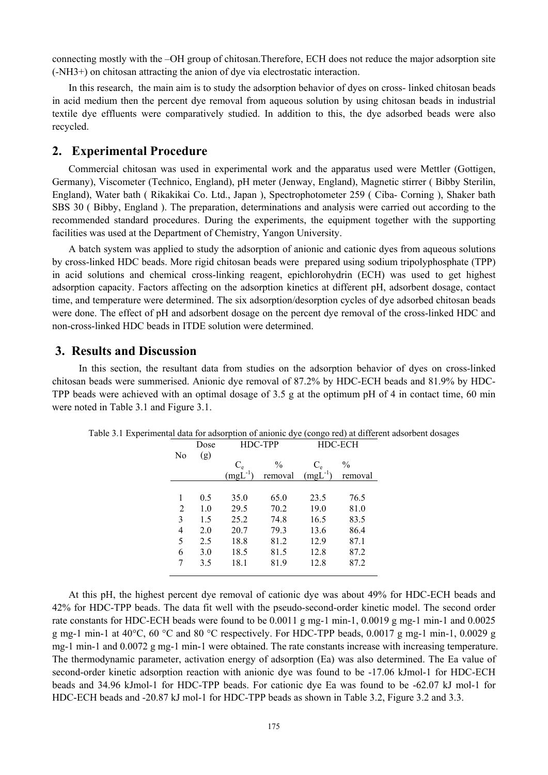connecting mostly with the –OH group of chitosan.Therefore, ECH does not reduce the major adsorption site (-NH3+) on chitosan attracting the anion of dye via electrostatic interaction.

In this research, the main aim is to study the adsorption behavior of dyes on cross- linked chitosan beads in acid medium then the percent dye removal from aqueous solution by using chitosan beads in industrial textile dye effluents were comparatively studied. In addition to this, the dye adsorbed beads were also recycled.

## **2. Experimental Procedure**

Commercial chitosan was used in experimental work and the apparatus used were Mettler (Gottigen, Germany), Viscometer (Technico, England), pH meter (Jenway, England), Magnetic stirrer ( Bibby Sterilin, England), Water bath ( Rikakikai Co. Ltd., Japan ), Spectrophotometer 259 ( Ciba- Corning ), Shaker bath SBS 30 ( Bibby, England ). The preparation, determinations and analysis were carried out according to the recommended standard procedures. During the experiments, the equipment together with the supporting facilities was used at the Department of Chemistry, Yangon University.

A batch system was applied to study the adsorption of anionic and cationic dyes from aqueous solutions by cross-linked HDC beads. More rigid chitosan beads were prepared using sodium tripolyphosphate (TPP) in acid solutions and chemical cross-linking reagent, epichlorohydrin (ECH) was used to get highest adsorption capacity. Factors affecting on the adsorption kinetics at different pH, adsorbent dosage, contact time, and temperature were determined. The six adsorption/desorption cycles of dye adsorbed chitosan beads were done. The effect of pH and adsorbent dosage on the percent dye removal of the cross-linked HDC and non-cross-linked HDC beads in ITDE solution were determined.

#### **3. Results and Discussion**

 In this section, the resultant data from studies on the adsorption behavior of dyes on cross-linked chitosan beads were summerised. Anionic dye removal of 87.2% by HDC-ECH beads and 81.9% by HDC-TPP beads were achieved with an optimal dosage of 3.5 g at the optimum pH of 4 in contact time, 60 min were noted in Table 3.1 and Figure 3.1.

|                | Dose | HDC-TPP      |               | HDC-ECH      |               |
|----------------|------|--------------|---------------|--------------|---------------|
| No             | (g)  |              |               |              |               |
|                |      | $C_{\rm e}$  | $\frac{0}{0}$ | $C_{e}$      | $\frac{0}{0}$ |
|                |      | $(mgL^{-1})$ | removal       | $(mgL^{-1})$ | removal       |
|                |      |              |               |              |               |
| 1              | 0.5  | 35.0         | 65.0          | 23.5         | 76.5          |
| $\overline{2}$ | 1.0  | 29.5         | 70.2          | 19.0         | 81.0          |
| 3              | 1.5  | 25.2         | 74.8          | 16.5         | 83.5          |
| 4              | 2.0  | 20.7         | 79.3          | 13.6         | 86.4          |
| 5              | 2.5  | 18.8         | 81.2          | 12.9         | 87.1          |
| 6              | 3.0  | 18.5         | 81.5          | 12.8         | 87.2          |
|                | 3.5  | 18.1         | 81.9          | 12.8         | 87.2          |
|                |      |              |               |              |               |

Table 3.1 Experimental data for adsorption of anionic dye (congo red) at different adsorbent dosages

At this pH, the highest percent dye removal of cationic dye was about 49% for HDC-ECH beads and 42% for HDC-TPP beads. The data fit well with the pseudo-second-order kinetic model. The second order rate constants for HDC-ECH beads were found to be 0.0011 g mg-1 min-1, 0.0019 g mg-1 min-1 and 0.0025 g mg-1 min-1 at  $40^{\circ}$ C,  $60^{\circ}$ C and  $80^{\circ}$ C respectively. For HDC-TPP beads, 0.0017 g mg-1 min-1, 0.0029 g mg-1 min-1 and 0.0072 g mg-1 min-1 were obtained. The rate constants increase with increasing temperature. The thermodynamic parameter, activation energy of adsorption (Ea) was also determined. The Ea value of second-order kinetic adsorption reaction with anionic dye was found to be -17.06 kJmol-1 for HDC-ECH beads and 34.96 kJmol-1 for HDC-TPP beads. For cationic dye Ea was found to be -62.07 kJ mol-1 for HDC-ECH beads and -20.87 kJ mol-1 for HDC-TPP beads as shown in Table 3.2, Figure 3.2 and 3.3.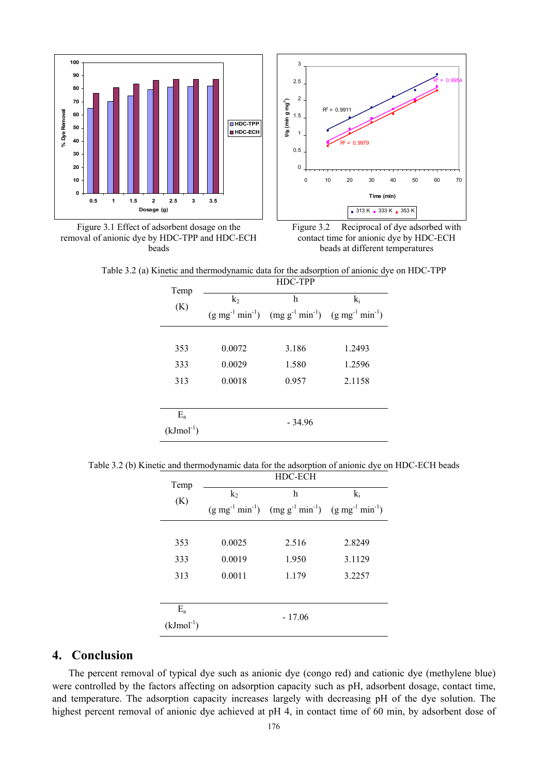





Figure 3.2 Reciprocal of dye adsorbed with contact time for anionic dye by HDC-ECH beads at different temperatures

Temp (K) HDC-TPP  $\overline{k_2}$  $(g \text{ mg}^{-1} \text{ min}^{-1})$ h  $(mg g^{-1} min^{-1})$ ki  $(g \text{ mg}^{-1} \text{ min}^{-1})$ 353 0.0072 3.186 1.2493 333 0.0029 1.580 1.2596 313 0.0018 0.957 2.1158 Ea  $(kJmol^{-1})$ - 34.96

Table 3.2 (a) Kinetic and thermodynamic data for the adsorption of anionic dye on HDC-TPP

Table 3.2 (b) Kinetic and thermodynamic data for the adsorption of anionic dye on HDC-ECH beads

| Temp        | HDC-ECH        |                                                                      |        |  |  |  |
|-------------|----------------|----------------------------------------------------------------------|--------|--|--|--|
| (K)         | k <sub>2</sub> | h                                                                    | $k_i$  |  |  |  |
|             |                | $(g mg^{-1} min^{-1})$ $(mg g^{-1} min^{-1})$ $(g mg^{-1} min^{-1})$ |        |  |  |  |
|             |                |                                                                      |        |  |  |  |
| 353         | 0.0025         | 2.516                                                                | 2.8249 |  |  |  |
| 333         | 0.0019         | 1.950                                                                | 3.1129 |  |  |  |
| 313         | 0.0011         | 1.179                                                                | 3.2257 |  |  |  |
|             |                |                                                                      |        |  |  |  |
| $E_{a}$     |                | $-17.06$                                                             |        |  |  |  |
| $(kJmol-1)$ |                |                                                                      |        |  |  |  |

## **4. Conclusion**

The percent removal of typical dye such as anionic dye (congo red) and cationic dye (methylene blue) were controlled by the factors affecting on adsorption capacity such as pH, adsorbent dosage, contact time, and temperature. The adsorption capacity increases largely with decreasing pH of the dye solution. The highest percent removal of anionic dye achieved at pH 4, in contact time of 60 min, by adsorbent dose of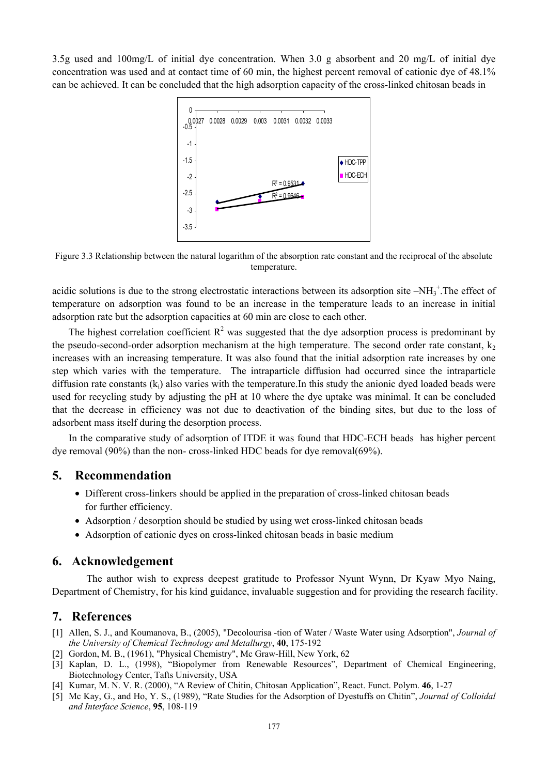3.5g used and 100mg/L of initial dye concentration. When 3.0 g absorbent and 20 mg/L of initial dye concentration was used and at contact time of 60 min, the highest percent removal of cationic dye of 48.1% can be achieved. It can be concluded that the high adsorption capacity of the cross-linked chitosan beads in



Figure 3.3 Relationship between the natural logarithm of the absorption rate constant and the reciprocal of the absolute temperature.

acidic solutions is due to the strong electrostatic interactions between its adsorption site  $-NH_3^+$ . The effect of temperature on adsorption was found to be an increase in the temperature leads to an increase in initial adsorption rate but the adsorption capacities at 60 min are close to each other.

The highest correlation coefficient  $R^2$  was suggested that the dye adsorption process is predominant by the pseudo-second-order adsorption mechanism at the high temperature. The second order rate constant,  $k_2$ increases with an increasing temperature. It was also found that the initial adsorption rate increases by one step which varies with the temperature. The intraparticle diffusion had occurred since the intraparticle diffusion rate constants  $(k<sub>i</sub>)$  also varies with the temperature. In this study the anionic dyed loaded beads were used for recycling study by adjusting the pH at 10 where the dye uptake was minimal. It can be concluded that the decrease in efficiency was not due to deactivation of the binding sites, but due to the loss of adsorbent mass itself during the desorption process.

In the comparative study of adsorption of ITDE it was found that HDC-ECH beads has higher percent dye removal (90%) than the non- cross-linked HDC beads for dye removal(69%).

### **5. Recommendation**

- Different cross-linkers should be applied in the preparation of cross-linked chitosan beads for further efficiency.
- Adsorption / desorption should be studied by using wet cross-linked chitosan beads
- Adsorption of cationic dyes on cross-linked chitosan beads in basic medium

#### **6. Acknowledgement**

 The author wish to express deepest gratitude to Professor Nyunt Wynn, Dr Kyaw Myo Naing, Department of Chemistry, for his kind guidance, invaluable suggestion and for providing the research facility.

#### **7. References**

- [1] Allen, S. J., and Koumanova, B., (2005), "Decolourisa -tion of Water / Waste Water using Adsorption", *Journal of the University of Chemical Technology and Metallurgy*, **40**, 175-192
- [2] Gordon, M. B., (1961), "Physical Chemistry", Mc Graw-Hill, New York, 62
- [3] Kaplan, D. L., (1998), "Biopolymer from Renewable Resources", Department of Chemical Engineering, Biotechnology Center, Tafts University, USA
- [4] Kumar, M. N. V. R. (2000), "A Review of Chitin, Chitosan Application", React. Funct. Polym. **46**, 1-27
- [5] Mc Kay, G., and Ho, Y. S., (1989), "Rate Studies for the Adsorption of Dyestuffs on Chitin", *Journal of Colloidal and Interface Science*, **95**, 108-119